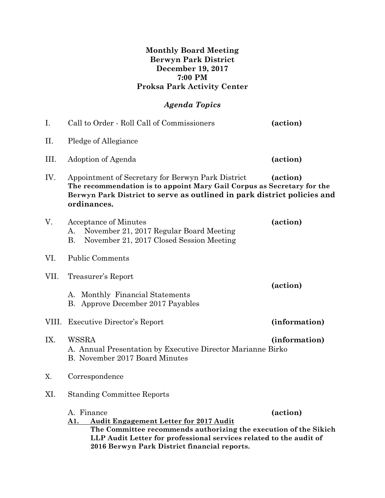### **Monthly Board Meeting Berwyn Park District December 19, 2017 7:00 PM Proksa Park Activity Center**

# *Agenda Topics*

| I.    | Call to Order - Roll Call of Commissioners                                                                                                                                                                                                                   | (action)      |
|-------|--------------------------------------------------------------------------------------------------------------------------------------------------------------------------------------------------------------------------------------------------------------|---------------|
| II.   | Pledge of Allegiance                                                                                                                                                                                                                                         |               |
| Ш.    | Adoption of Agenda                                                                                                                                                                                                                                           | (action)      |
| IV.   | Appointment of Secretary for Berwyn Park District<br>The recommendation is to appoint Mary Gail Corpus as Secretary for the<br>Berwyn Park District to serve as outlined in park district policies and<br>ordinances.                                        | (action)      |
| V.    | Acceptance of Minutes<br>November 21, 2017 Regular Board Meeting<br>A.<br>В.<br>November 21, 2017 Closed Session Meeting                                                                                                                                     | (action)      |
| VI.   | <b>Public Comments</b>                                                                                                                                                                                                                                       |               |
| VII.  | Treasurer's Report                                                                                                                                                                                                                                           |               |
|       | A. Monthly Financial Statements<br>B. Approve December 2017 Payables                                                                                                                                                                                         | (action)      |
| VIII. | Executive Director's Report                                                                                                                                                                                                                                  | (information) |
| IX.   | WSSRA<br>A. Annual Presentation by Executive Director Marianne Birko<br>B. November 2017 Board Minutes                                                                                                                                                       | (information) |
| Χ.    | Correspondence                                                                                                                                                                                                                                               |               |
| XI.   | <b>Standing Committee Reports</b>                                                                                                                                                                                                                            |               |
|       | A. Finance<br><b>Audit Engagement Letter for 2017 Audit</b><br>A1.<br>The Committee recommends authorizing the execution of the Sikich<br>LLP Audit Letter for professional services related to the audit of<br>2016 Berwyn Park District financial reports. | (action)      |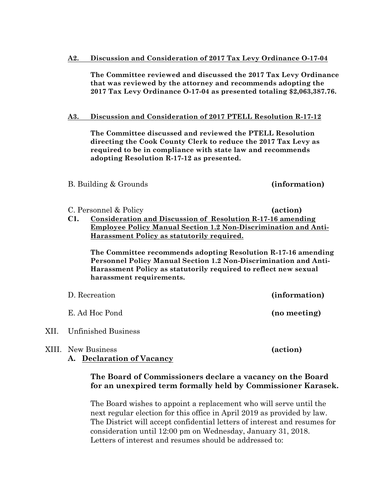#### **A2. Discussion and Consideration of 2017 Tax Levy Ordinance O-17-04**

**The Committee reviewed and discussed the 2017 Tax Levy Ordinance that was reviewed by the attorney and recommends adopting the 2017 Tax Levy Ordinance O-17-04 as presented totaling \$2,063,387.76.**

#### **A3. Discussion and Consideration of 2017 PTELL Resolution R-17-12**

**The Committee discussed and reviewed the PTELL Resolution directing the Cook County Clerk to reduce the 2017 Tax Levy as required to be in compliance with state law and recommends adopting Resolution R-17-12 as presented.**

#### B. Building & Grounds **(information)**

C. Personnel & Policy **(action)** 

**C1. Consideration and Discussion of Resolution R-17-16 amending Employee Policy Manual Section 1.2 Non-Discrimination and Anti-Harassment Policy as statutorily required.**

**The Committee recommends adopting Resolution R-17-16 amending Personnel Policy Manual Section 1.2 Non-Discrimination and Anti-Harassment Policy as statutorily required to reflect new sexual harassment requirements.**

| D. Recreation             | (information) |
|---------------------------|---------------|
| E. Ad Hoc Pond            | (no meeting)  |
| XII. Unfinished Business  |               |
| <b>XIII.</b> New Business | (action)      |

### **A. Declaration of Vacancy**

### **The Board of Commissioners declare a vacancy on the Board for an unexpired term formally held by Commissioner Karasek.**

The Board wishes to appoint a replacement who will serve until the next regular election for this office in April 2019 as provided by law. The District will accept confidential letters of interest and resumes for consideration until 12:00 pm on Wednesday, January 31, 2018. Letters of interest and resumes should be addressed to: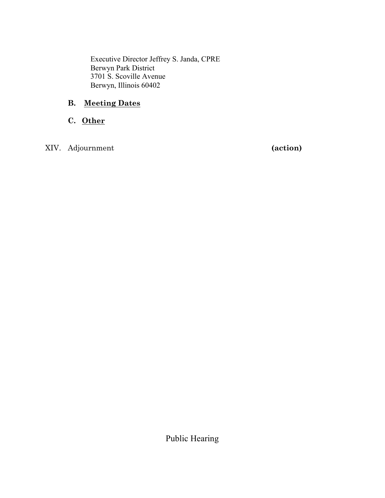Executive Director Jeffrey S. Janda, CPRE Berwyn Park District 3701 S. Scoville Avenue Berwyn, Illinois 60402

## **B. Meeting Dates**

**C. Other**

XIV. Adjournment **(action)**

Public Hearing